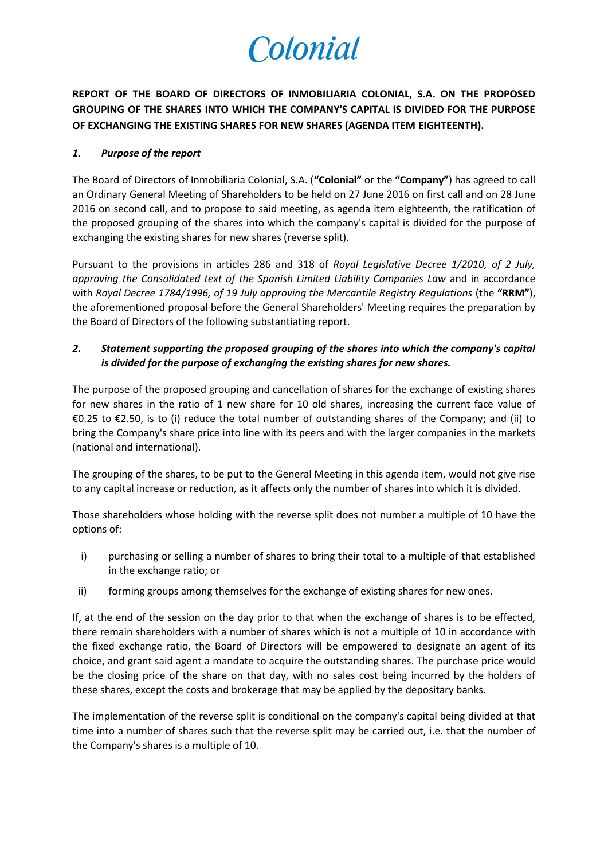# Colonial

**REPORT OF THE BOARD OF DIRECTORS OF INMOBILIARIA COLONIAL, S.A. ON THE PROPOSED GROUPING OF THE SHARES INTO WHICH THE COMPANY'S CAPITAL IS DIVIDED FOR THE PURPOSE OF EXCHANGING THE EXISTING SHARES FOR NEW SHARES (AGENDA ITEM EIGHTEENTH).**

### *1. Purpose of the report*

The Board of Directors of Inmobiliaria Colonial, S.A. (**"Colonial"** or the **"Company"**) has agreed to call an Ordinary General Meeting of Shareholders to be held on 27 June 2016 on first call and on 28 June 2016 on second call, and to propose to said meeting, as agenda item eighteenth, the ratification of the proposed grouping of the shares into which the company's capital is divided for the purpose of exchanging the existing shares for new shares (reverse split).

Pursuant to the provisions in articles 286 and 318 of *Royal Legislative Decree 1/2010, of 2 July, approving the Consolidated text of the Spanish Limited Liability Companies Law* and in accordance with *Royal Decree 1784/1996, of 19 July approving the Mercantile Registry Regulations* (the **"RRM"**), the aforementioned proposal before the General Shareholders' Meeting requires the preparation by the Board of Directors of the following substantiating report.

## *2. Statement supporting the proposed grouping of the shares into which the company's capital is divided for the purpose of exchanging the existing shares for new shares.*

The purpose of the proposed grouping and cancellation of shares for the exchange of existing shares for new shares in the ratio of 1 new share for 10 old shares, increasing the current face value of €0.25 to €2.50, is to (i) reduce the total number of outstanding shares of the Company; and (ii) to bring the Company's share price into line with its peers and with the larger companies in the markets (national and international).

The grouping of the shares, to be put to the General Meeting in this agenda item, would not give rise to any capital increase or reduction, as it affects only the number of shares into which it is divided.

Those shareholders whose holding with the reverse split does not number a multiple of 10 have the options of:

- i) purchasing or selling a number of shares to bring their total to a multiple of that established in the exchange ratio; or
- ii) forming groups among themselves for the exchange of existing shares for new ones.

If, at the end of the session on the day prior to that when the exchange of shares is to be effected, there remain shareholders with a number of shares which is not a multiple of 10 in accordance with the fixed exchange ratio, the Board of Directors will be empowered to designate an agent of its choice, and grant said agent a mandate to acquire the outstanding shares. The purchase price would be the closing price of the share on that day, with no sales cost being incurred by the holders of these shares, except the costs and brokerage that may be applied by the depositary banks.

The implementation of the reverse split is conditional on the company's capital being divided at that time into a number of shares such that the reverse split may be carried out, i.e. that the number of the Company's shares is a multiple of 10.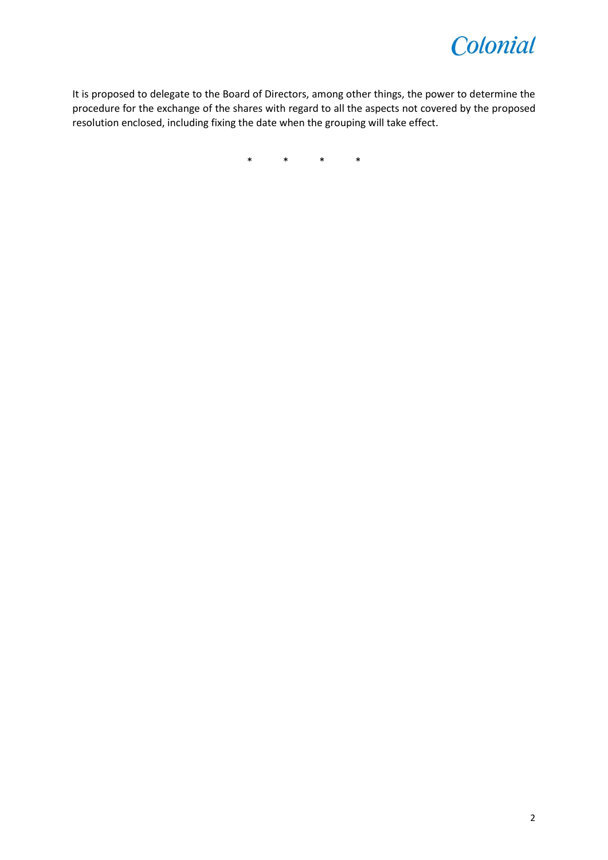

It is proposed to delegate to the Board of Directors, among other things, the power to determine the procedure for the exchange of the shares with regard to all the aspects not covered by the proposed resolution enclosed, including fixing the date when the grouping will take effect.

\* \* \* \*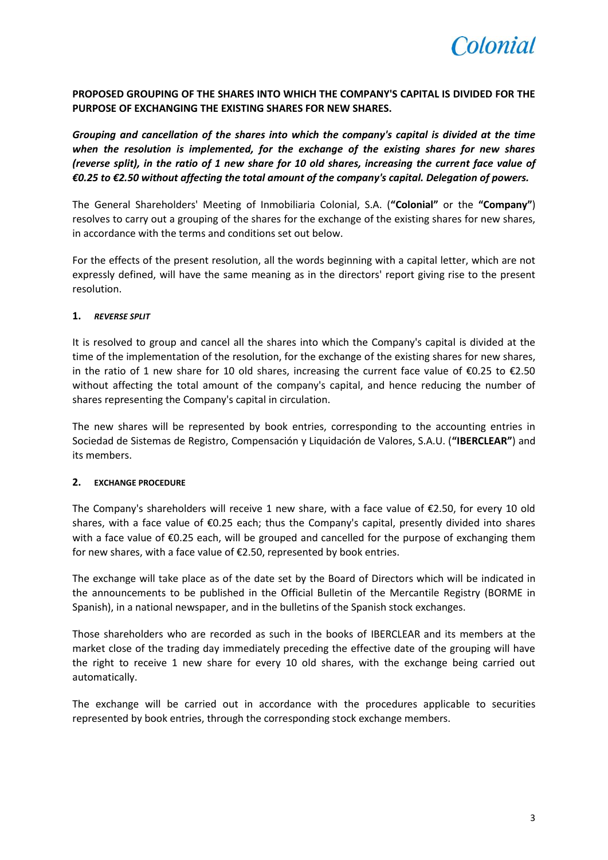

**PROPOSED GROUPING OF THE SHARES INTO WHICH THE COMPANY'S CAPITAL IS DIVIDED FOR THE PURPOSE OF EXCHANGING THE EXISTING SHARES FOR NEW SHARES.**

*Grouping and cancellation of the shares into which the company's capital is divided at the time when the resolution is implemented, for the exchange of the existing shares for new shares (reverse split), in the ratio of 1 new share for 10 old shares, increasing the current face value of €0.25 to €2.50 without affecting the total amount of the company's capital. Delegation of powers.*

The General Shareholders' Meeting of Inmobiliaria Colonial, S.A. (**"Colonial"** or the **"Company"**) resolves to carry out a grouping of the shares for the exchange of the existing shares for new shares, in accordance with the terms and conditions set out below.

For the effects of the present resolution, all the words beginning with a capital letter, which are not expressly defined, will have the same meaning as in the directors' report giving rise to the present resolution.

#### **1.** *REVERSE SPLIT*

It is resolved to group and cancel all the shares into which the Company's capital is divided at the time of the implementation of the resolution, for the exchange of the existing shares for new shares, in the ratio of 1 new share for 10 old shares, increasing the current face value of  $\epsilon$ 0.25 to  $\epsilon$ 2.50 without affecting the total amount of the company's capital, and hence reducing the number of shares representing the Company's capital in circulation.

The new shares will be represented by book entries, corresponding to the accounting entries in Sociedad de Sistemas de Registro, Compensación y Liquidación de Valores, S.A.U. (**"IBERCLEAR"**) and its members.

#### **2. EXCHANGE PROCEDURE**

The Company's shareholders will receive 1 new share, with a face value of €2.50, for every 10 old shares, with a face value of €0.25 each; thus the Company's capital, presently divided into shares with a face value of €0.25 each, will be grouped and cancelled for the purpose of exchanging them for new shares, with a face value of €2.50, represented by book entries.

The exchange will take place as of the date set by the Board of Directors which will be indicated in the announcements to be published in the Official Bulletin of the Mercantile Registry (BORME in Spanish), in a national newspaper, and in the bulletins of the Spanish stock exchanges.

Those shareholders who are recorded as such in the books of IBERCLEAR and its members at the market close of the trading day immediately preceding the effective date of the grouping will have the right to receive 1 new share for every 10 old shares, with the exchange being carried out automatically.

The exchange will be carried out in accordance with the procedures applicable to securities represented by book entries, through the corresponding stock exchange members.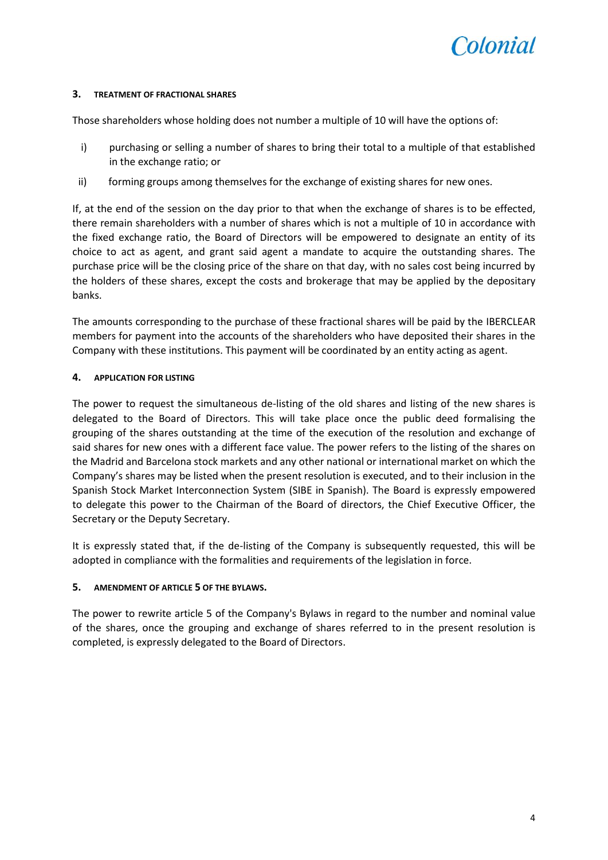

#### **3. TREATMENT OF FRACTIONAL SHARES**

Those shareholders whose holding does not number a multiple of 10 will have the options of:

- i) purchasing or selling a number of shares to bring their total to a multiple of that established in the exchange ratio; or
- ii) forming groups among themselves for the exchange of existing shares for new ones.

If, at the end of the session on the day prior to that when the exchange of shares is to be effected, there remain shareholders with a number of shares which is not a multiple of 10 in accordance with the fixed exchange ratio, the Board of Directors will be empowered to designate an entity of its choice to act as agent, and grant said agent a mandate to acquire the outstanding shares. The purchase price will be the closing price of the share on that day, with no sales cost being incurred by the holders of these shares, except the costs and brokerage that may be applied by the depositary banks.

The amounts corresponding to the purchase of these fractional shares will be paid by the IBERCLEAR members for payment into the accounts of the shareholders who have deposited their shares in the Company with these institutions. This payment will be coordinated by an entity acting as agent.

#### **4. APPLICATION FOR LISTING**

The power to request the simultaneous de-listing of the old shares and listing of the new shares is delegated to the Board of Directors. This will take place once the public deed formalising the grouping of the shares outstanding at the time of the execution of the resolution and exchange of said shares for new ones with a different face value. The power refers to the listing of the shares on the Madrid and Barcelona stock markets and any other national or international market on which the Company's shares may be listed when the present resolution is executed, and to their inclusion in the Spanish Stock Market Interconnection System (SIBE in Spanish). The Board is expressly empowered to delegate this power to the Chairman of the Board of directors, the Chief Executive Officer, the Secretary or the Deputy Secretary.

It is expressly stated that, if the de-listing of the Company is subsequently requested, this will be adopted in compliance with the formalities and requirements of the legislation in force.

#### **5. AMENDMENT OF ARTICLE 5 OF THE BYLAWS.**

The power to rewrite article 5 of the Company's Bylaws in regard to the number and nominal value of the shares, once the grouping and exchange of shares referred to in the present resolution is completed, is expressly delegated to the Board of Directors.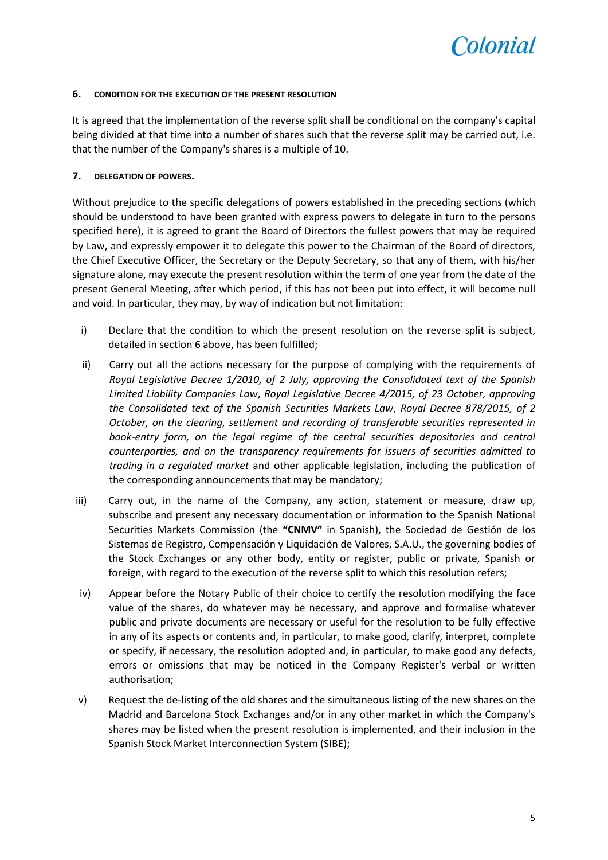

#### **6. CONDITION FOR THE EXECUTION OF THE PRESENT RESOLUTION**

It is agreed that the implementation of the reverse split shall be conditional on the company's capital being divided at that time into a number of shares such that the reverse split may be carried out, i.e. that the number of the Company's shares is a multiple of 10.

#### **7. DELEGATION OF POWERS.**

Without prejudice to the specific delegations of powers established in the preceding sections (which should be understood to have been granted with express powers to delegate in turn to the persons specified here), it is agreed to grant the Board of Directors the fullest powers that may be required by Law, and expressly empower it to delegate this power to the Chairman of the Board of directors, the Chief Executive Officer, the Secretary or the Deputy Secretary, so that any of them, with his/her signature alone, may execute the present resolution within the term of one year from the date of the present General Meeting, after which period, if this has not been put into effect, it will become null and void. In particular, they may, by way of indication but not limitation:

- i) Declare that the condition to which the present resolution on the reverse split is subject, detailed in section 6 above, has been fulfilled;
- ii) Carry out all the actions necessary for the purpose of complying with the requirements of *Royal Legislative Decree 1/2010, of 2 July, approving the Consolidated text of the Spanish Limited Liability Companies Law*, *Royal Legislative Decree 4/2015, of 23 October, approving the Consolidated text of the Spanish Securities Markets Law*, *Royal Decree 878/2015, of 2 October, on the clearing, settlement and recording of transferable securities represented in book-entry form, on the legal regime of the central securities depositaries and central counterparties, and on the transparency requirements for issuers of securities admitted to trading in a regulated market* and other applicable legislation, including the publication of the corresponding announcements that may be mandatory;
- iii) Carry out, in the name of the Company, any action, statement or measure, draw up, subscribe and present any necessary documentation or information to the Spanish National Securities Markets Commission (the **"CNMV"** in Spanish), the Sociedad de Gestión de los Sistemas de Registro, Compensación y Liquidación de Valores, S.A.U., the governing bodies of the Stock Exchanges or any other body, entity or register, public or private, Spanish or foreign, with regard to the execution of the reverse split to which this resolution refers;
- iv) Appear before the Notary Public of their choice to certify the resolution modifying the face value of the shares, do whatever may be necessary, and approve and formalise whatever public and private documents are necessary or useful for the resolution to be fully effective in any of its aspects or contents and, in particular, to make good, clarify, interpret, complete or specify, if necessary, the resolution adopted and, in particular, to make good any defects, errors or omissions that may be noticed in the Company Register's verbal or written authorisation;
- v) Request the de-listing of the old shares and the simultaneous listing of the new shares on the Madrid and Barcelona Stock Exchanges and/or in any other market in which the Company's shares may be listed when the present resolution is implemented, and their inclusion in the Spanish Stock Market Interconnection System (SIBE);